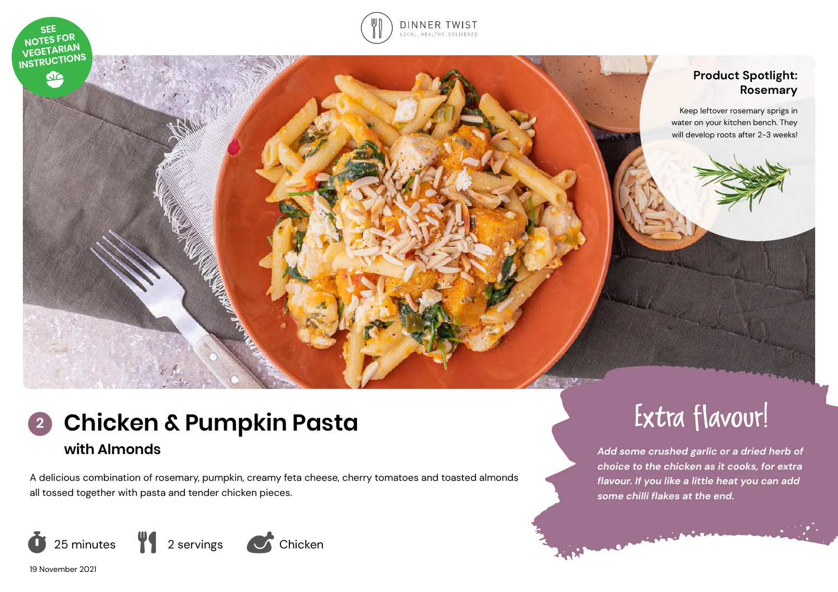

do



# **Product Spotlight: Rosemary**

Keep leftover rosemary sprigs in water on your kitchen bench. They will develop roots after 2-3 weeks!

# **Chicken & Pumpkin Pasta with Almonds 2**

A delicious combination of rosemary, pumpkin, creamy feta cheese, cherry tomatoes and toasted almonds all tossed together with pasta and tender chicken pieces.





*Add some crushed garlic or a dried herb of choice to the chicken as it cooks, for extra flavour. If you like a little heat you can add some chilli flakes at the end.* 

19 November 2021